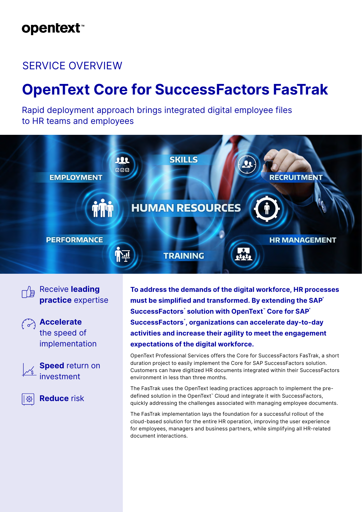# **opentext**™

# SERVICE OVERVIEW

# **OpenText Core for SuccessFactors FasTrak**

Rapid deployment approach brings integrated digital employee files to HR teams and employees



Receive **leading practice** expertise



**Accelerate** the speed of implementation

**Speed** return on investment

**Reduce** risk

**To address the demands of the digital workforce, HR processes must be simplified and transformed. By extending the SAP®**  $SuccessFactors^*$  solution with OpenText<sup>™</sup> Core for SAP<sup>®</sup> **SuccessFactors® , organizations can accelerate day-to-day activities and increase their agility to meet the engagement expectations of the digital workforce.**

OpenText Professional Services offers the Core for SuccessFactors FasTrak, a short duration project to easily implement the Core for SAP SuccessFactors solution. Customers can have digitized HR documents integrated within their SuccessFactors environment in less than three months.

The FasTrak uses the OpenText leading practices approach to implement the predefined solution in the OpenText™ Cloud and integrate it with SuccessFactors, quickly addressing the challenges associated with managing employee documents.

The FasTrak implementation lays the foundation for a successful rollout of the cloud-based solution for the entire HR operation, improving the user experience for employees, managers and business partners, while simplifying all HR-related document interactions.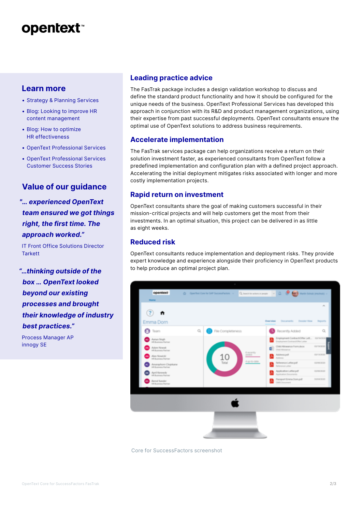# **opentext™**

## **Learn more**

- [Strategy & Planning Services](https://www.opentext.com/products-and-solutions/services/consulting-services/strategy-and-planning)
- [Blog:](https://blogs.opentext.com/5-best-practices-to-maximizing-your-eim-investment/) [Looking to improve HR](https://blogs.opentext.com/looking-to-improve-hr-content-management/)  [content management](https://blogs.opentext.com/looking-to-improve-hr-content-management/)
- [Blog:](https://blogs.opentext.com/4-key-areas-for-successful-information-management-transformation/) [How to optimize](https://blogs.opentext.com/how-to-optimize-hrs-effectiveness/)  [HR effectiveness](https://blogs.opentext.com/how-to-optimize-hrs-effectiveness/)
- [OpenText Professional Services](https://www.opentext.com/products-and-solutions/services)
- [OpenText Professional Services](http://www.opentext.com/customer-stories?state=%7B%22orderBy%22%3A%22sortPublishDate%22%2C%22filters%22%3A%7B%22products%22%3A%5B%22OpenText%20Professional%20Services%22%5D%7D%2C%22shownResults%22%3A0%7D)  [Customer Success Stories](http://www.opentext.com/customer-stories?state=%7B%22orderBy%22%3A%22sortPublishDate%22%2C%22filters%22%3A%7B%22products%22%3A%5B%22OpenText%20Professional%20Services%22%5D%7D%2C%22shownResults%22%3A0%7D)

## **Value of our guidance**

*"… experienced OpenText team ensured we got things right, the first time. The approach worked."*

IT Front Office Solutions Director **Tarkett** 

*"…thinking outside of the box … OpenText looked beyond our existing processes and brought their knowledge of industry best practices."*

Process Manager AP innogy SE

#### **Leading practice advice**

The FasTrak package includes a design validation workshop to discuss and define the standard product functionality and how it should be configured for the unique needs of the business. OpenText Professional Services has developed this approach in conjunction with its R&D and product management organizations, using their expertise from past successful deployments. OpenText consultants ensure the optimal use of OpenText solutions to address business requirements.

#### **Accelerate implementation**

The FasTrak services package can help organizations receive a return on their solution investment faster, as experienced consultants from OpenText follow a predefined implementation and configuration plan with a defined project approach. Accelerating the initial deployment mitigates risks associated with longer and more costly implementation projects.

#### **Rapid return on investment**

OpenText consultants share the goal of making customers successful in their mission-critical projects and will help customers get the most from their investments. In an optimal situation, this project can be delivered in as little as eight weeks.

### **Reduced risk**

OpenText consultants reduce implementation and deployment risks. They provide expert knowledge and experience alongside their proficiency in OpenText products to help produce an optimal project plan.



Core for SuccessFactors screenshot